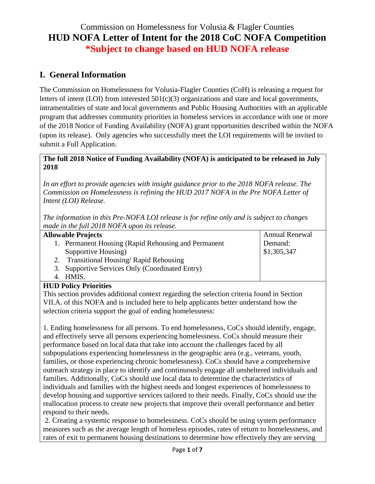# Commission on Homelessness for Volusia & Flagler Counties **HUD NOFA Letter of Intent for the 2018 CoC NOFA Competition \*Subject to change based on HUD NOFA release**

## **I. General Information**

The Commission on Homelessness for Volusia-Flagler Counties (CoH) is releasing a request for letters of intent (LOI) from interested 501(c)(3) organizations and state and local governments, intramentalities of state and local governments and Public Housing Authorities with an applicable program that addresses community priorities in homeless services in accordance with one or more of the 2018 Notice of Funding Availability (NOFA) grant opportunities described within the NOFA (upon its release). Only agencies who successfully meet the LOI requirements will be invited to submit a Full Application.

## **The full 2018 Notice of Funding Availability (NOFA) is anticipated to be released in July 2018**

*In an effort to provide agencies with insight guidance prior to the 2018 NOFA release. The Commission on Homelessness is refining the HUD 2017 NOFA in the Pre NOFA Letter of Intent (LOI) Release.* 

*The information in this Pre-NOFA LOI release is for refine only and is subject to changes made in the full 2018 NOFA upon its release.*

| <b>Allowable Projects</b> |                                                     | <b>Annual Renewal</b> |
|---------------------------|-----------------------------------------------------|-----------------------|
|                           | 1. Permanent Housing (Rapid Rehousing and Permanent | Demand:               |
|                           | Supportive Housing)                                 | \$1,305,347           |
|                           | <b>Transitional Housing/ Rapid Rehousing</b>        |                       |
|                           | 3. Supportive Services Only (Coordinated Entry)     |                       |
|                           | 4. HMIS.                                            |                       |

## **HUD Policy Priorities**

This section provides additional context regarding the selection criteria found in Section VII.A. of this NOFA and is included here to help applicants better understand how the selection criteria support the goal of ending homelessness:

1. Ending homelessness for all persons. To end homelessness, CoCs should identify, engage, and effectively serve all persons experiencing homelessness. CoCs should measure their performance based on local data that take into account the challenges faced by all subpopulations experiencing homelessness in the geographic area (e.g., veterans, youth, families, or those experiencing chronic homelessness). CoCs should have a comprehensive outreach strategy in place to identify and continuously engage all unsheltered individuals and families. Additionally, CoCs should use local data to determine the characteristics of individuals and families with the highest needs and longest experiences of homelessness to develop housing and supportive services tailored to their needs. Finally, CoCs should use the reallocation process to create new projects that improve their overall performance and better respond to their needs.

2. Creating a systemic response to homelessness. CoCs should be using system performance measures such as the average length of homeless episodes, rates of return to homelessness, and rates of exit to permanent housing destinations to determine how effectively they are serving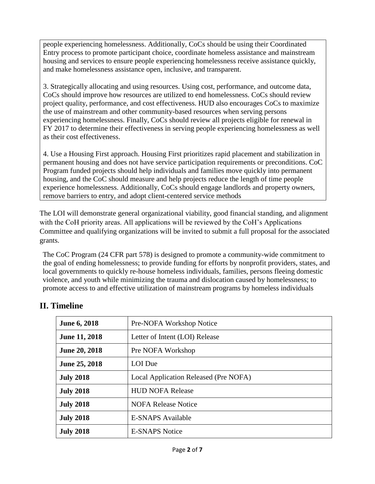people experiencing homelessness. Additionally, CoCs should be using their Coordinated Entry process to promote participant choice, coordinate homeless assistance and mainstream housing and services to ensure people experiencing homelessness receive assistance quickly, and make homelessness assistance open, inclusive, and transparent.

3. Strategically allocating and using resources. Using cost, performance, and outcome data, CoCs should improve how resources are utilized to end homelessness. CoCs should review project quality, performance, and cost effectiveness. HUD also encourages CoCs to maximize the use of mainstream and other community-based resources when serving persons experiencing homelessness. Finally, CoCs should review all projects eligible for renewal in FY 2017 to determine their effectiveness in serving people experiencing homelessness as well as their cost effectiveness.

4. Use a Housing First approach. Housing First prioritizes rapid placement and stabilization in permanent housing and does not have service participation requirements or preconditions. CoC Program funded projects should help individuals and families move quickly into permanent housing, and the CoC should measure and help projects reduce the length of time people experience homelessness. Additionally, CoCs should engage landlords and property owners, remove barriers to entry, and adopt client-centered service methods

The LOI will demonstrate general organizational viability, good financial standing, and alignment with the CoH priority areas. All applications will be reviewed by the CoH's Applications Committee and qualifying organizations will be invited to submit a full proposal for the associated grants.

The CoC Program (24 CFR part 578) is designed to promote a community-wide commitment to the goal of ending homelessness; to provide funding for efforts by nonprofit providers, states, and local governments to quickly re-house homeless individuals, families, persons fleeing domestic violence, and youth while minimizing the trauma and dislocation caused by homelessness; to promote access to and effective utilization of mainstream programs by homeless individuals

| June 6, 2018         | Pre-NOFA Workshop Notice              |
|----------------------|---------------------------------------|
| <b>June 11, 2018</b> | Letter of Intent (LOI) Release        |
| <b>June 20, 2018</b> | Pre NOFA Workshop                     |
| <b>June 25, 2018</b> | LOI Due                               |
| <b>July 2018</b>     | Local Application Released (Pre NOFA) |
| <b>July 2018</b>     | <b>HUD NOFA Release</b>               |
| <b>July 2018</b>     | <b>NOFA Release Notice</b>            |
| <b>July 2018</b>     | <b>E-SNAPS Available</b>              |
| <b>July 2018</b>     | <b>E-SNAPS Notice</b>                 |

# **II. Timeline**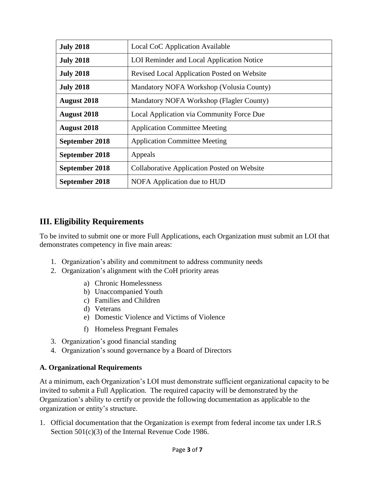| <b>July 2018</b>   | Local CoC Application Available                    |
|--------------------|----------------------------------------------------|
| <b>July 2018</b>   | LOI Reminder and Local Application Notice          |
| <b>July 2018</b>   | Revised Local Application Posted on Website        |
| <b>July 2018</b>   | Mandatory NOFA Workshop (Volusia County)           |
| <b>August 2018</b> | Mandatory NOFA Workshop (Flagler County)           |
| <b>August 2018</b> | Local Application via Community Force Due          |
| <b>August 2018</b> | <b>Application Committee Meeting</b>               |
| September 2018     | <b>Application Committee Meeting</b>               |
| September 2018     | Appeals                                            |
| September 2018     | <b>Collaborative Application Posted on Website</b> |
| September 2018     | NOFA Application due to HUD                        |

## **III. Eligibility Requirements**

To be invited to submit one or more Full Applications, each Organization must submit an LOI that demonstrates competency in five main areas:

- 1. Organization's ability and commitment to address community needs
- 2. Organization's alignment with the CoH priority areas
	- a) Chronic Homelessness
	- b) Unaccompanied Youth
	- c) Families and Children
	- d) Veterans
	- e) Domestic Violence and Victims of Violence
	- f) Homeless Pregnant Females
- 3. Organization's good financial standing
- 4. Organization's sound governance by a Board of Directors

## **A. Organizational Requirements**

At a minimum, each Organization's LOI must demonstrate sufficient organizational capacity to be invited to submit a Full Application. The required capacity will be demonstrated by the Organization's ability to certify or provide the following documentation as applicable to the organization or entity's structure.

1. Official documentation that the Organization is exempt from federal income tax under I.R.S Section 501(c)(3) of the Internal Revenue Code 1986.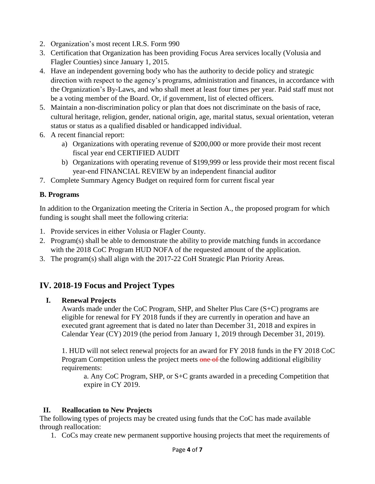- 2. Organization's most recent I.R.S. Form 990
- 3. Certification that Organization has been providing Focus Area services locally (Volusia and Flagler Counties) since January 1, 2015.
- 4. Have an independent governing body who has the authority to decide policy and strategic direction with respect to the agency's programs, administration and finances, in accordance with the Organization's By-Laws, and who shall meet at least four times per year. Paid staff must not be a voting member of the Board. Or, if government, list of elected officers.
- 5. Maintain a non-discrimination policy or plan that does not discriminate on the basis of race, cultural heritage, religion, gender, national origin, age, marital status, sexual orientation, veteran status or status as a qualified disabled or handicapped individual.
- 6. A recent financial report:
	- a) Organizations with operating revenue of \$200,000 or more provide their most recent fiscal year end CERTIFIED AUDIT
	- b) Organizations with operating revenue of \$199,999 or less provide their most recent fiscal year-end FINANCIAL REVIEW by an independent financial auditor
- 7. Complete Summary Agency Budget on required form for current fiscal year

## **B. Programs**

In addition to the Organization meeting the Criteria in Section A., the proposed program for which funding is sought shall meet the following criteria:

- 1. Provide services in either Volusia or Flagler County.
- 2. Program(s) shall be able to demonstrate the ability to provide matching funds in accordance with the 2018 CoC Program HUD NOFA of the requested amount of the application.
- 3. The program(s) shall align with the 2017-22 CoH Strategic Plan Priority Areas.

## **IV. 2018-19 Focus and Project Types**

#### **I. Renewal Projects**

Awards made under the CoC Program, SHP, and Shelter Plus Care (S+C) programs are eligible for renewal for FY 2018 funds if they are currently in operation and have an executed grant agreement that is dated no later than December 31, 2018 and expires in Calendar Year (CY) 2019 (the period from January 1, 2019 through December 31, 2019).

1. HUD will not select renewal projects for an award for FY 2018 funds in the FY 2018 CoC Program Competition unless the project meets one of the following additional eligibility requirements:

a. Any CoC Program, SHP, or S+C grants awarded in a preceding Competition that expire in CY 2019.

## **II. Reallocation to New Projects**

The following types of projects may be created using funds that the CoC has made available through reallocation:

1. CoCs may create new permanent supportive housing projects that meet the requirements of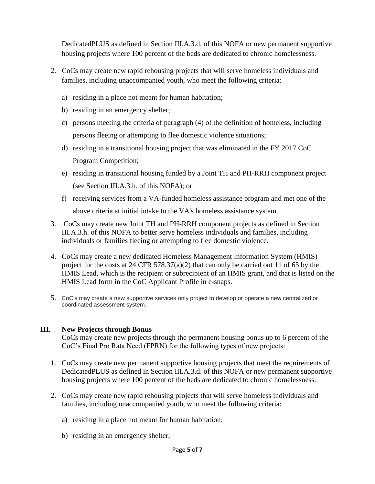DedicatedPLUS as defined in Section III.A.3.d. of this NOFA or new permanent supportive housing projects where 100 percent of the beds are dedicated to chronic homelessness.

- 2. CoCs may create new rapid rehousing projects that will serve homeless individuals and families, including unaccompanied youth, who meet the following criteria:
	- a) residing in a place not meant for human habitation;
	- b) residing in an emergency shelter;
	- c) persons meeting the criteria of paragraph (4) of the definition of homeless, including persons fleeing or attempting to flee domestic violence situations;
	- d) residing in a transitional housing project that was eliminated in the FY 2017 CoC Program Competition;
	- e) residing in transitional housing funded by a Joint TH and PH-RRH component project (see Section III.A.3.h. of this NOFA); or
	- f) receiving services from a VA-funded homeless assistance program and met one of the above criteria at initial intake to the VA's homeless assistance system.
- 3. CoCs may create new Joint TH and PH-RRH component projects as defined in Section III.A.3.h. of this NOFA to better serve homeless individuals and families, including individuals or families fleeing or attempting to flee domestic violence.
- 4. CoCs may create a new dedicated Homeless Management Information System (HMIS) project for the costs at 24 CFR 578.37(a)(2) that can only be carried out 11 of 65 by the HMIS Lead, which is the recipient or subrecipient of an HMIS grant, and that is listed on the HMIS Lead form in the CoC Applicant Profile in e-snaps.
- 5. CoC's may create a new supportive services only project to develop or operate a new centralized or coordinated assessment system.

#### **III. New Projects through Bonus**

CoCs may create new projects through the permanent housing bonus up to 6 percent of the CoC's Final Pro Rata Need (FPRN) for the following types of new projects:

- 1. CoCs may create new permanent supportive housing projects that meet the requirements of DedicatedPLUS as defined in Section III.A.3.d. of this NOFA or new permanent supportive housing projects where 100 percent of the beds are dedicated to chronic homelessness.
- 2. CoCs may create new rapid rehousing projects that will serve homeless individuals and families, including unaccompanied youth, who meet the following criteria:
	- a) residing in a place not meant for human habitation;
	- b) residing in an emergency shelter;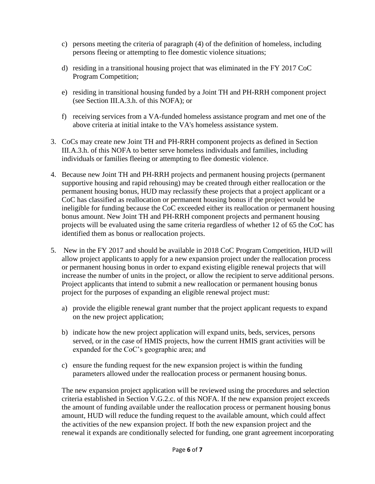- c) persons meeting the criteria of paragraph (4) of the definition of homeless, including persons fleeing or attempting to flee domestic violence situations;
- d) residing in a transitional housing project that was eliminated in the FY 2017 CoC Program Competition;
- e) residing in transitional housing funded by a Joint TH and PH-RRH component project (see Section III.A.3.h. of this NOFA); or
- f) receiving services from a VA-funded homeless assistance program and met one of the above criteria at initial intake to the VA's homeless assistance system.
- 3. CoCs may create new Joint TH and PH-RRH component projects as defined in Section III.A.3.h. of this NOFA to better serve homeless individuals and families, including individuals or families fleeing or attempting to flee domestic violence.
- 4. Because new Joint TH and PH-RRH projects and permanent housing projects (permanent supportive housing and rapid rehousing) may be created through either reallocation or the permanent housing bonus, HUD may reclassify these projects that a project applicant or a CoC has classified as reallocation or permanent housing bonus if the project would be ineligible for funding because the CoC exceeded either its reallocation or permanent housing bonus amount. New Joint TH and PH-RRH component projects and permanent housing projects will be evaluated using the same criteria regardless of whether 12 of 65 the CoC has identified them as bonus or reallocation projects.
- 5. New in the FY 2017 and should be available in 2018 CoC Program Competition, HUD will allow project applicants to apply for a new expansion project under the reallocation process or permanent housing bonus in order to expand existing eligible renewal projects that will increase the number of units in the project, or allow the recipient to serve additional persons. Project applicants that intend to submit a new reallocation or permanent housing bonus project for the purposes of expanding an eligible renewal project must:
	- a) provide the eligible renewal grant number that the project applicant requests to expand on the new project application;
	- b) indicate how the new project application will expand units, beds, services, persons served, or in the case of HMIS projects, how the current HMIS grant activities will be expanded for the CoC's geographic area; and
	- c) ensure the funding request for the new expansion project is within the funding parameters allowed under the reallocation process or permanent housing bonus.

The new expansion project application will be reviewed using the procedures and selection criteria established in Section V.G.2.c. of this NOFA. If the new expansion project exceeds the amount of funding available under the reallocation process or permanent housing bonus amount, HUD will reduce the funding request to the available amount, which could affect the activities of the new expansion project. If both the new expansion project and the renewal it expands are conditionally selected for funding, one grant agreement incorporating